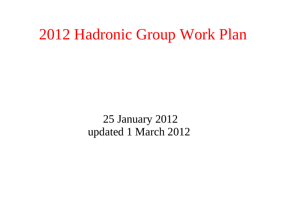### 2012 Hadronic Group Work Plan

25 January 2012 updated 1 March 2012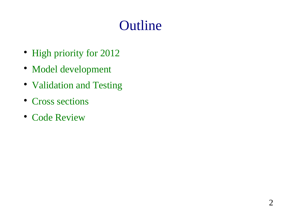### **Outline**

- High priority for 2012
- Model development
- Validation and Testing
- Cross sections
- Code Review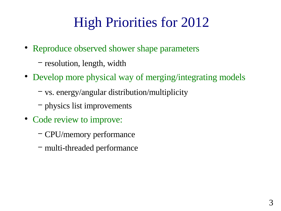## High Priorities for 2012

- Reproduce observed shower shape parameters
	- − resolution, length, width
- Develop more physical way of merging/integrating models
	- − vs. energy/angular distribution/multiplicity
	- − physics list improvements
- Code review to improve:
	- − CPU/memory performance
	- − multi-threaded performance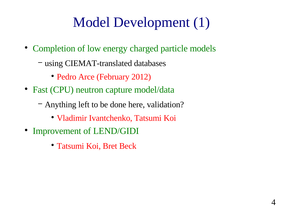## Model Development (1)

- Completion of low energy charged particle models
	- − using CIEMAT-translated databases
		- Pedro Arce (February 2012)
- Fast (CPU) neutron capture model/data
	- − Anything left to be done here, validation?
		- Vladimir Ivantchenko, Tatsumi Koi
- Improvement of LEND/GIDI
	- Tatsumi Koi, Bret Beck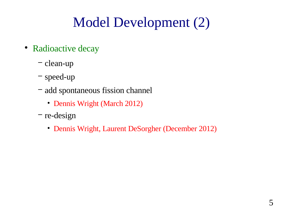# Model Development (2)

- Radioactive decay
	- − clean-up
	- − speed-up
	- − add spontaneous fission channel
		- Dennis Wright (March 2012)
	- − re-design
		- Dennis Wright, Laurent DeSorgher (December 2012)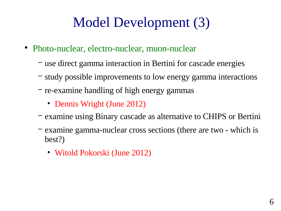## Model Development (3)

- Photo-nuclear, electro-nuclear, muon-nuclear
	- − use direct gamma interaction in Bertini for cascade energies
	- − study possible improvements to low energy gamma interactions
	- − re-examine handling of high energy gammas
		- Dennis Wright (June 2012)
	- − examine using Binary cascade as alternative to CHIPS or Bertini
	- − examine gamma-nuclear cross sections (there are two which is best?)
		- Witold Pokorski (June 2012)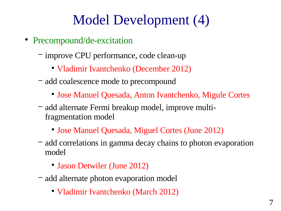## Model Development (4)

- Precompound/de-excitation
	- − improve CPU performance, code clean-up
		- Vladimir Ivantchenko (December 2012)
	- − add coalescence mode to precompound
		- Jose Manuel Quesada, Anton Ivantchenko, Migule Cortes
	- − add alternate Fermi breakup model, improve multifragmentation model
		- Jose Manuel Quesada, Miguel Cortes (June 2012)
	- − add correlations in gamma decay chains to photon evaporation model
		- Jason Detwiler (June 2012)
	- − add alternate photon evaporation model
		- Vladimir Ivantchenko (March 2012)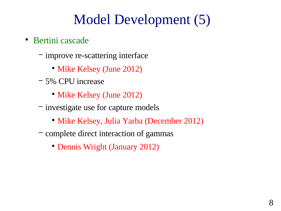## Model Development (5)

- Bertini cascade
	- − improve re-scattering interface
		- Mike Kelsey (June 2012)
	- − 5% CPU increase
		- Mike Kelsey (June 2012)
	- − investigate use for capture models
		- Mike Kelsey, Julia Yarba (December 2012)
	- − complete direct interaction of gammas
		- Dennis Wright (January 2012)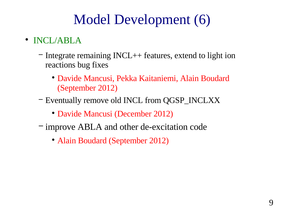## Model Development (6)

- INCL/ABLA
	- − Integrate remaining INCL++ features, extend to light ion reactions bug fixes
		- Davide Mancusi, Pekka Kaitaniemi, Alain Boudard (September 2012)
	- − Eventually remove old INCL from QGSP\_INCLXX
		- Davide Mancusi (December 2012)
	- − improve ABLA and other de-excitation code
		- Alain Boudard (September 2012)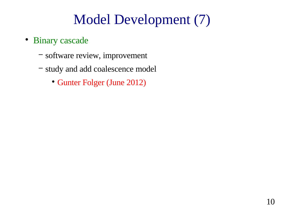## Model Development (7)

- Binary cascade
	- − software review, improvement
	- − study and add coalescence model
		- Gunter Folger (June 2012)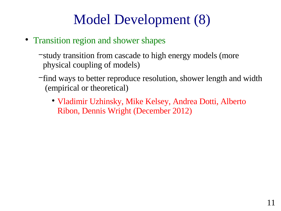## Model Development (8)

- Transition region and shower shapes
	- − study transition from cascade to high energy models (more physical coupling of models)
	- − find ways to better reproduce resolution, shower length and width (empirical or theoretical)
		- Vladimir Uzhinsky, Mike Kelsey, Andrea Dotti, Alberto Ribon, Dennis Wright (December 2012)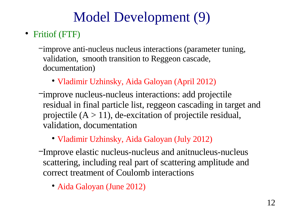# Model Development (9)

#### • Fritiof (FTF)

- − improve anti-nucleus nucleus interactions (parameter tuning, validation, smooth transition to Reggeon cascade, documentation)
	- Vladimir Uzhinsky, Aida Galoyan (April 2012)
- − improve nucleus-nucleus interactions: add projectile residual in final particle list, reggeon cascading in target and projectile  $(A > 11)$ , de-excitation of projectile residual, validation, documentation
	- Vladimir Uzhinsky, Aida Galoyan (July 2012)
- − Improve elastic nucleus-nucleus and anitnucleus-nucleus scattering, including real part of scattering amplitude and correct treatment of Coulomb interactions
	- Aida Galoyan (June 2012)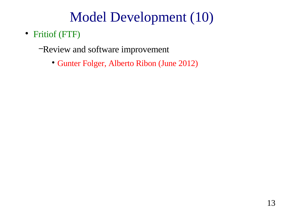### Model Development (10)

- Fritiof (FTF)
	- −Review and software improvement
		- Gunter Folger, Alberto Ribon (June 2012)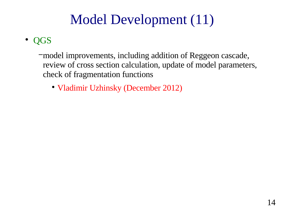## Model Development (11)

#### • QGS

- − model improvements, including addition of Reggeon cascade, review of cross section calculation, update of model parameters, check of fragmentation functions
	- Vladimir Uzhinsky (December 2012)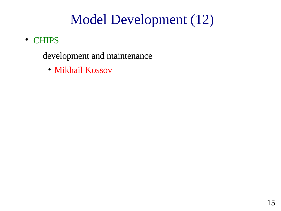### Model Development (12)

- CHIPS
	- development and maintenance
		- Mikhail Kossov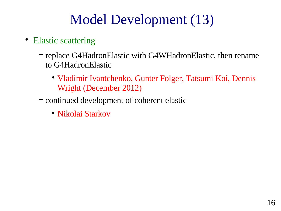## Model Development (13)

- Elastic scattering
	- − replace G4HadronElastic with G4WHadronElastic, then rename to G4HadronElastic
		- Vladimir Ivantchenko, Gunter Folger, Tatsumi Koi, Dennis Wright (December 2012)
	- − continued development of coherent elastic
		- Nikolai Starkov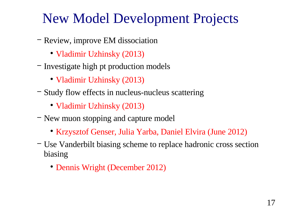### New Model Development Projects

- − Review, improve EM dissociation
	- Vladimir Uzhinsky (2013)
- − Investigate high pt production models
	- Vladimir Uzhinsky (2013)
- − Study flow effects in nucleus-nucleus scattering
	- Vladimir Uzhinsky (2013)
- − New muon stopping and capture model
	- Krzysztof Genser, Julia Yarba, Daniel Elvira (June 2012)
- − Use Vanderbilt biasing scheme to replace hadronic cross section biasing
	- Dennis Wright (December 2012)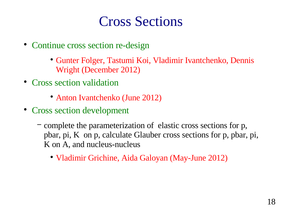### Cross Sections

- Continue cross section re-design
	- Gunter Folger, Tastumi Koi, Vladimir Ivantchenko, Dennis Wright (December 2012)
- Cross section validation
	- Anton Ivantchenko (June 2012)
- Cross section development
	- − complete the parameterization of elastic cross sections for p, pbar, pi, K on p, calculate Glauber cross sections for p, pbar, pi, K on A, and nucleus-nucleus
		- Vladimir Grichine, Aida Galoyan (May-June 2012)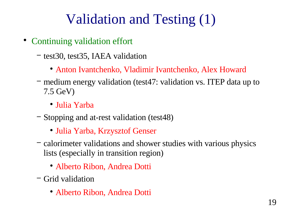## Validation and Testing (1)

- Continuing validation effort
	- − test30, test35, IAEA validation
		- Anton Ivantchenko, Vladimir Ivantchenko, Alex Howard
	- − medium energy validation (test47: validation vs. ITEP data up to 7.5 GeV)
		- Julia Yarba
	- − Stopping and at-rest validation (test48)
		- Julia Yarba, Krzysztof Genser
	- − calorimeter validations and shower studies with various physics lists (especially in transition region)
		- Alberto Ribon, Andrea Dotti
	- − Grid validation
		- Alberto Ribon, Andrea Dotti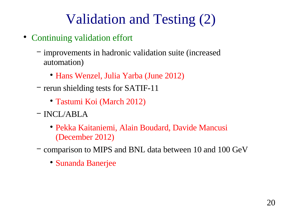## Validation and Testing (2)

- Continuing validation effort
	- − improvements in hadronic validation suite (increased automation)
		- Hans Wenzel, Julia Yarba (June 2012)
	- − rerun shielding tests for SATIF-11
		- Tastumi Koi (March 2012)
	- − INCL/ABLA
		- Pekka Kaitaniemi, Alain Boudard, Davide Mancusi (December 2012)
	- − comparison to MIPS and BNL data between 10 and 100 GeV
		- Sunanda Banerjee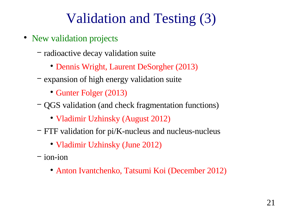### Validation and Testing (3)

- New validation projects
	- − radioactive decay validation suite
		- Dennis Wright, Laurent DeSorgher (2013)
	- − expansion of high energy validation suite
		- Gunter Folger (2013)
	- − QGS validation (and check fragmentation functions)
		- Vladimir Uzhinsky (August 2012)
	- − FTF validation for pi/K-nucleus and nucleus-nucleus
		- Vladimir Uzhinsky (June 2012)
	- − ion-ion
		- Anton Ivantchenko, Tatsumi Koi (December 2012)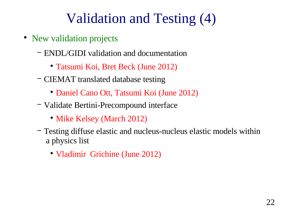### Validation and Testing (4)

- New validation projects
	- − ENDL/GIDI validation and documentation
		- Tatsumi Koi, Bret Beck (June 2012)
	- − CIEMAT translated database testing
		- Daniel Cano Ott, Tatsumi Koi (June 2012)
	- − Validate Bertini-Precompound interface
		- Mike Kelsey (March 2012)
	- − Testing diffuse elastic and nucleus-nucleus elastic models within a physics list
		- Vladimir Grichine (June 2012)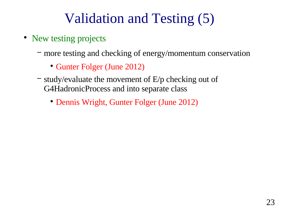## Validation and Testing (5)

- New testing projects
	- − more testing and checking of energy/momentum conservation
		- Gunter Folger (June 2012)
	- − study/evaluate the movement of E/p checking out of G4HadronicProcess and into separate class
		- Dennis Wright, Gunter Folger (June 2012)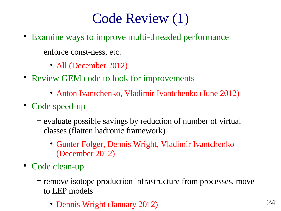## Code Review (1)

- Examine ways to improve multi-threaded performance
	- − enforce const-ness, etc.
		- All (December 2012)
- Review GEM code to look for improvements
	- Anton Ivantchenko, Vladimir Ivantchenko (June 2012)
- Code speed-up
	- − evaluate possible savings by reduction of number of virtual classes (flatten hadronic framework)
		- Gunter Folger, Dennis Wright, Vladimir Ivantchenko (December 2012)
- Code clean-up
	- − remove isotope production infrastructure from processes, move to LEP models
		- Dennis Wright (January 2012) 24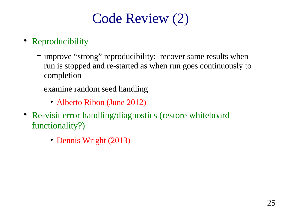# Code Review (2)

- Reproducibility
	- − improve "strong" reproducibility: recover same results when run is stopped and re-started as when run goes continuously to completion
	- − examine random seed handling
		- Alberto Ribon (June 2012)
- Re-visit error handling/diagnostics (restore whiteboard functionality?)
	- Dennis Wright (2013)